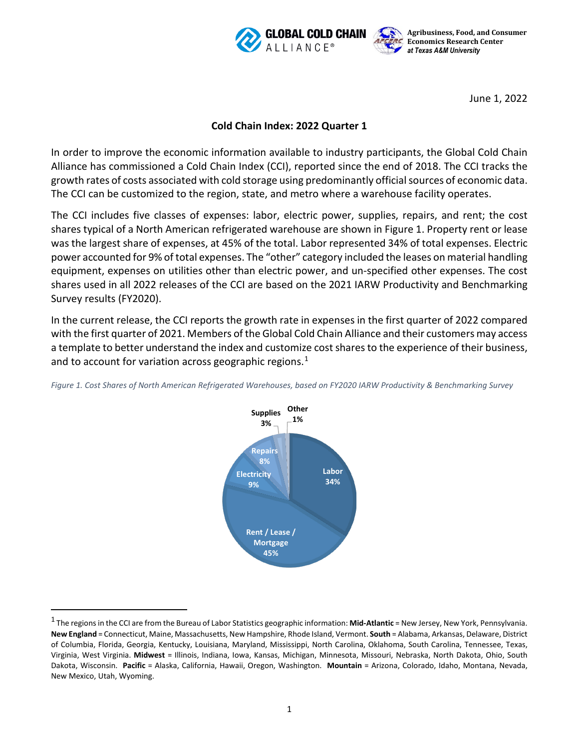



June 1, 2022

## **Cold Chain Index: 2022 Quarter 1**

In order to improve the economic information available to industry participants, the Global Cold Chain Alliance has commissioned a Cold Chain Index (CCI), reported since the end of 2018. The CCI tracks the growth rates of costs associated with cold storage using predominantly official sources of economic data. The CCI can be customized to the region, state, and metro where a warehouse facility operates.

The CCI includes five classes of expenses: labor, electric power, supplies, repairs, and rent; the cost shares typical of a North American refrigerated warehouse are shown in Figure 1. Property rent or lease was the largest share of expenses, at 45% of the total. Labor represented 34% of total expenses. Electric power accounted for 9% of total expenses. The "other" category included the leases on material handling equipment, expenses on utilities other than electric power, and un-specified other expenses. The cost shares used in all 2022 releases of the CCI are based on the 2021 IARW Productivity and Benchmarking Survey results (FY2020).

In the current release, the CCI reports the growth rate in expenses in the first quarter of 2022 compared with the first quarter of 2021. Members of the Global Cold Chain Alliance and their customers may access a template to better understand the index and customize cost shares to the experience of their business, and to account for variation across geographic regions.<sup>[1](#page-0-0)</sup>





<span id="page-0-0"></span><sup>1</sup> The regions in the CCI are from the Bureau of Labor Statistics geographic information: **Mid-Atlantic** = New Jersey, New York, Pennsylvania. **New England** = Connecticut, Maine, Massachusetts, New Hampshire, Rhode Island, Vermont. **South** = Alabama, Arkansas, Delaware, District of Columbia, Florida, Georgia, Kentucky, Louisiana, Maryland, Mississippi, North Carolina, Oklahoma, South Carolina, Tennessee, Texas, Virginia, West Virginia. **Midwest** = Illinois, Indiana, Iowa, Kansas, Michigan, Minnesota, Missouri, Nebraska, North Dakota, Ohio, South Dakota, Wisconsin. **Pacific** = Alaska, California, Hawaii, Oregon, Washington. **Mountain** = Arizona, Colorado, Idaho, Montana, Nevada, New Mexico, Utah, Wyoming.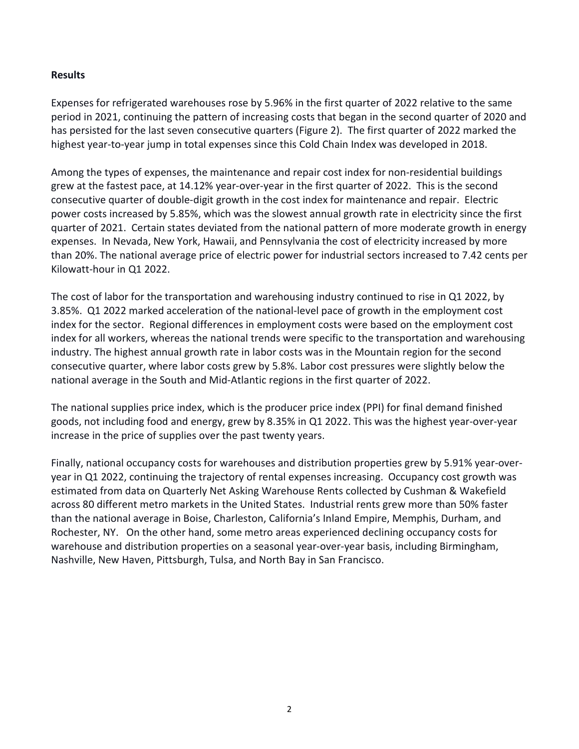## **Results**

Expenses for refrigerated warehouses rose by 5.96% in the first quarter of 2022 relative to the same period in 2021, continuing the pattern of increasing costs that began in the second quarter of 2020 and has persisted for the last seven consecutive quarters (Figure 2). The first quarter of 2022 marked the highest year-to-year jump in total expenses since this Cold Chain Index was developed in 2018.

Among the types of expenses, the maintenance and repair cost index for non-residential buildings grew at the fastest pace, at 14.12% year-over-year in the first quarter of 2022. This is the second consecutive quarter of double-digit growth in the cost index for maintenance and repair. Electric power costs increased by 5.85%, which was the slowest annual growth rate in electricity since the first quarter of 2021. Certain states deviated from the national pattern of more moderate growth in energy expenses. In Nevada, New York, Hawaii, and Pennsylvania the cost of electricity increased by more than 20%. The national average price of electric power for industrial sectors increased to 7.42 cents per Kilowatt-hour in Q1 2022.

The cost of labor for the transportation and warehousing industry continued to rise in Q1 2022, by 3.85%. Q1 2022 marked acceleration of the national-level pace of growth in the employment cost index for the sector. Regional differences in employment costs were based on the employment cost index for all workers, whereas the national trends were specific to the transportation and warehousing industry. The highest annual growth rate in labor costs was in the Mountain region for the second consecutive quarter, where labor costs grew by 5.8%. Labor cost pressures were slightly below the national average in the South and Mid-Atlantic regions in the first quarter of 2022.

The national supplies price index, which is the producer price index (PPI) for final demand finished goods, not including food and energy, grew by 8.35% in Q1 2022. This was the highest year-over-year increase in the price of supplies over the past twenty years.

Finally, national occupancy costs for warehouses and distribution properties grew by 5.91% year-overyear in Q1 2022, continuing the trajectory of rental expenses increasing. Occupancy cost growth was estimated from data on Quarterly Net Asking Warehouse Rents collected by Cushman & Wakefield across 80 different metro markets in the United States. Industrial rents grew more than 50% faster than the national average in Boise, Charleston, California's Inland Empire, Memphis, Durham, and Rochester, NY. On the other hand, some metro areas experienced declining occupancy costs for warehouse and distribution properties on a seasonal year-over-year basis, including Birmingham, Nashville, New Haven, Pittsburgh, Tulsa, and North Bay in San Francisco.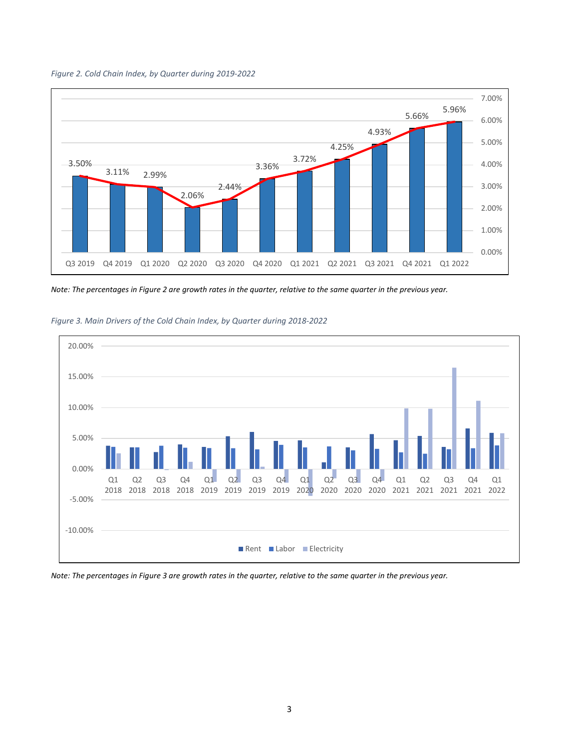*Figure 2. Cold Chain Index, by Quarter during 2019-2022*



*Note: The percentages in Figure 2 are growth rates in the quarter, relative to the same quarter in the previous year.* 



*Figure 3. Main Drivers of the Cold Chain Index, by Quarter during 2018-2022*

*Note: The percentages in Figure 3 are growth rates in the quarter, relative to the same quarter in the previous year.*